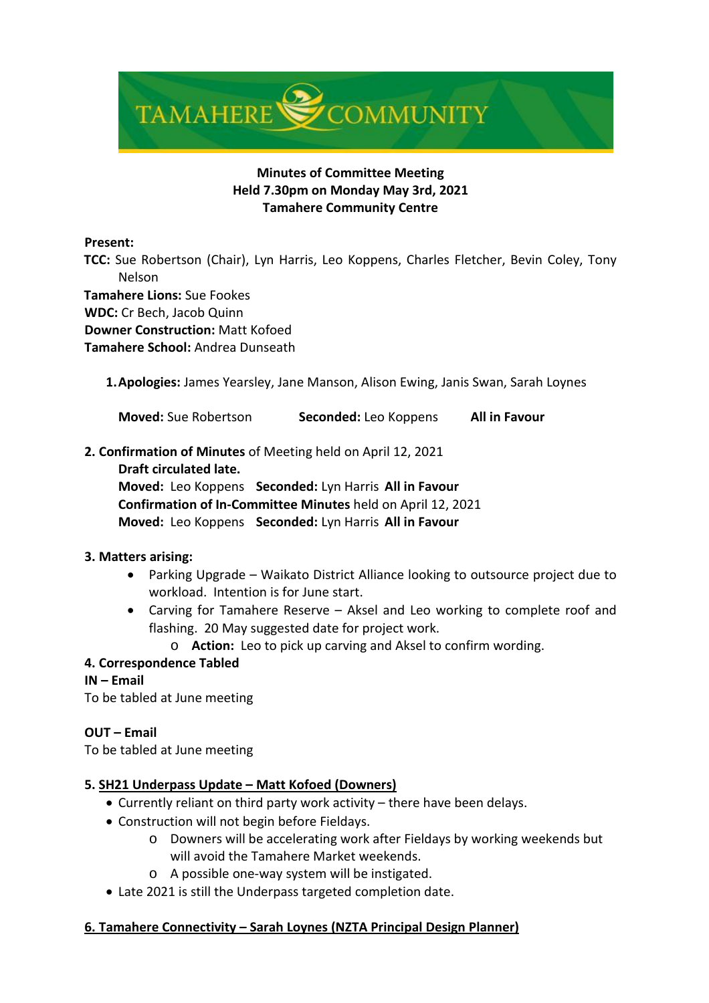

# **Minutes of Committee Meeting Held 7.30pm on Monday May 3rd, 2021 Tamahere Community Centre**

### **Present:**

 **TCC:** Sue Robertson (Chair), Lyn Harris, Leo Koppens, Charles Fletcher, Bevin Coley, Tony Nelson

 **Tamahere Lions:** Sue Fookes

**WDC:** Cr Bech, Jacob Quinn

**Downer Construction:** Matt Kofoed

**Tamahere School:** Andrea Dunseath

**1.Apologies:** James Yearsley, Jane Manson, Alison Ewing, Janis Swan, Sarah Loynes

**Moved:** Sue Robertson **Seconded:** Leo Koppens **All in Favour**

### **2. Confirmation of Minutes** of Meeting held on April 12, 2021

**Draft circulated late.**

**Moved:** Leo Koppens **Seconded:** Lyn Harris **All in Favour Confirmation of In-Committee Minutes** held on April 12, 2021 **Moved:** Leo Koppens **Seconded:** Lyn Harris **All in Favour**

### **3. Matters arising:**

- Parking Upgrade Waikato District Alliance looking to outsource project due to workload. Intention is for June start.
- Carving for Tamahere Reserve Aksel and Leo working to complete roof and flashing. 20 May suggested date for project work.

o **Action:** Leo to pick up carving and Aksel to confirm wording.

# **4. Correspondence Tabled**

# **IN – Email**

To be tabled at June meeting

# **OUT – Email**

To be tabled at June meeting

# **5. SH21 Underpass Update – Matt Kofoed (Downers)**

- Currently reliant on third party work activity there have been delays.
- Construction will not begin before Fieldays.
	- o Downers will be accelerating work after Fieldays by working weekends but will avoid the Tamahere Market weekends.
	- o A possible one-way system will be instigated.
- Late 2021 is still the Underpass targeted completion date.

# **6. Tamahere Connectivity – Sarah Loynes (NZTA Principal Design Planner)**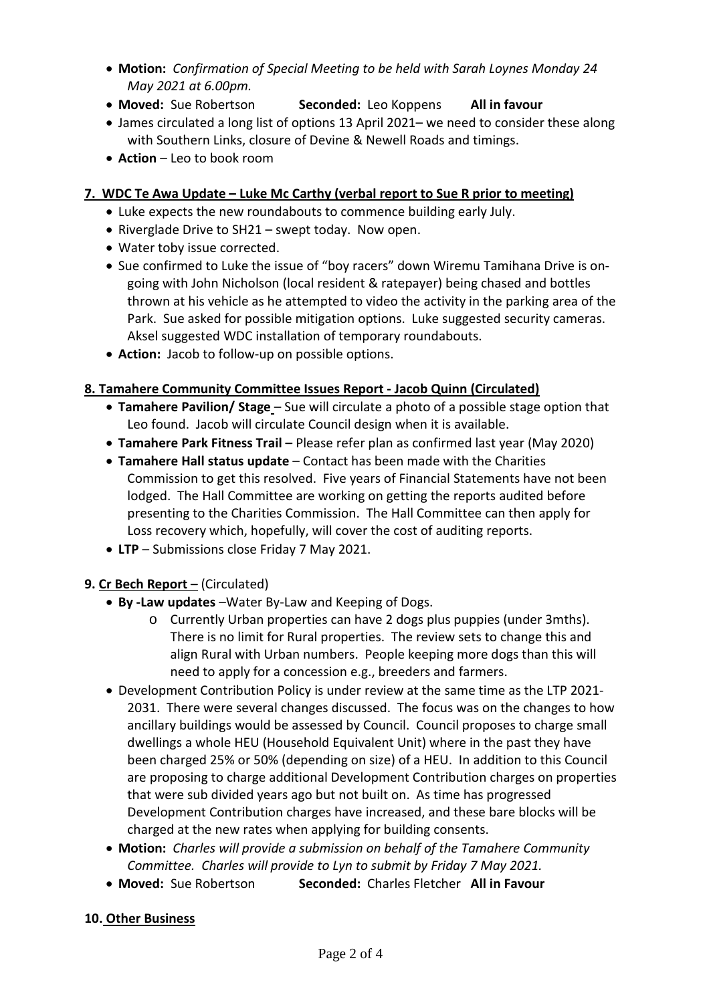- **Motion:** *Confirmation of Special Meeting to be held with Sarah Loynes Monday 24 May 2021 at 6.00pm.*
- **Moved:** Sue Robertson **Seconded:** Leo Koppens **All in favour**
- James circulated a long list of options 13 April 2021– we need to consider these along with Southern Links, closure of Devine & Newell Roads and timings.
- **Action** Leo to book room

## **7. WDC Te Awa Update – Luke Mc Carthy (verbal report to Sue R prior to meeting)**

- Luke expects the new roundabouts to commence building early July.
- Riverglade Drive to SH21 swept today. Now open.
- Water toby issue corrected.
- Sue confirmed to Luke the issue of "boy racers" down Wiremu Tamihana Drive is ongoing with John Nicholson (local resident & ratepayer) being chased and bottles thrown at his vehicle as he attempted to video the activity in the parking area of the Park. Sue asked for possible mitigation options. Luke suggested security cameras. Aksel suggested WDC installation of temporary roundabouts.
- **Action:** Jacob to follow-up on possible options.

# **8. Tamahere Community Committee Issues Report - Jacob Quinn (Circulated)**

- **Tamahere Pavilion/ Stage** Sue will circulate a photo of a possible stage option that Leo found. Jacob will circulate Council design when it is available.
- **Tamahere Park Fitness Trail –** Please refer plan as confirmed last year (May 2020)
- **Tamahere Hall status update** Contact has been made with the Charities Commission to get this resolved. Five years of Financial Statements have not been lodged. The Hall Committee are working on getting the reports audited before presenting to the Charities Commission. The Hall Committee can then apply for Loss recovery which, hopefully, will cover the cost of auditing reports.
- **LTP**  Submissions close Friday 7 May 2021.

# **9. Cr Bech Report –** (Circulated)

- **By -Law updates** –Water By-Law and Keeping of Dogs.
	- o Currently Urban properties can have 2 dogs plus puppies (under 3mths). There is no limit for Rural properties. The review sets to change this and align Rural with Urban numbers. People keeping more dogs than this will need to apply for a concession e.g., breeders and farmers.
- Development Contribution Policy is under review at the same time as the LTP 2021- 2031. There were several changes discussed. The focus was on the changes to how ancillary buildings would be assessed by Council. Council proposes to charge small dwellings a whole HEU (Household Equivalent Unit) where in the past they have been charged 25% or 50% (depending on size) of a HEU. In addition to this Council are proposing to charge additional Development Contribution charges on properties that were sub divided years ago but not built on. As time has progressed Development Contribution charges have increased, and these bare blocks will be charged at the new rates when applying for building consents.
- **Motion:** *Charles will provide a submission on behalf of the Tamahere Community Committee. Charles will provide to Lyn to submit by Friday 7 May 2021.*
- **Moved:** Sue Robertson **Seconded:** Charles Fletcher **All in Favour**

### **10. Other Business**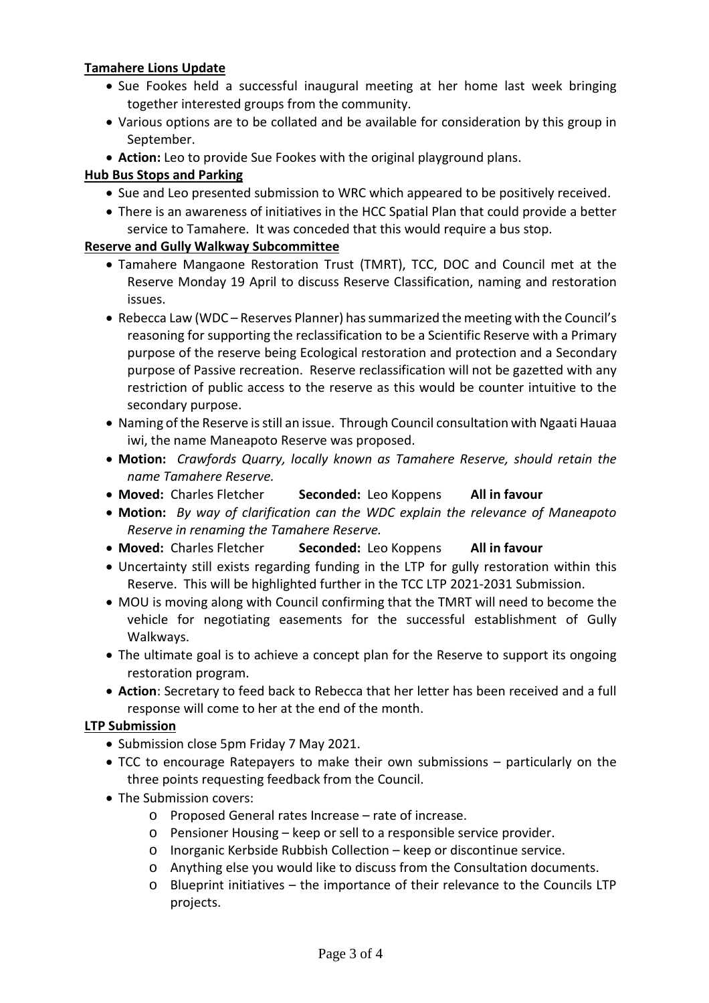## **Tamahere Lions Update**

- Sue Fookes held a successful inaugural meeting at her home last week bringing together interested groups from the community.
- Various options are to be collated and be available for consideration by this group in September.
- **Action:** Leo to provide Sue Fookes with the original playground plans.

## **Hub Bus Stops and Parking**

- Sue and Leo presented submission to WRC which appeared to be positively received.
- There is an awareness of initiatives in the HCC Spatial Plan that could provide a better service to Tamahere. It was conceded that this would require a bus stop.

### **Reserve and Gully Walkway Subcommittee**

- Tamahere Mangaone Restoration Trust (TMRT), TCC, DOC and Council met at the Reserve Monday 19 April to discuss Reserve Classification, naming and restoration issues.
- Rebecca Law (WDC Reserves Planner) has summarized the meeting with the Council's reasoning for supporting the reclassification to be a Scientific Reserve with a Primary purpose of the reserve being Ecological restoration and protection and a Secondary purpose of Passive recreation. Reserve reclassification will not be gazetted with any restriction of public access to the reserve as this would be counter intuitive to the secondary purpose.
- Naming of the Reserve is still an issue. Through Council consultation with Ngaati Hauaa iwi, the name Maneapoto Reserve was proposed.
- **Motion:** *Crawfords Quarry, locally known as Tamahere Reserve, should retain the name Tamahere Reserve.*
- **Moved:** Charles Fletcher **Seconded:** Leo Koppens **All in favour**
- **Motion:** *By way of clarification can the WDC explain the relevance of Maneapoto Reserve in renaming the Tamahere Reserve.*
- **Moved:** Charles Fletcher **Seconded:** Leo Koppens **All in favour**
- Uncertainty still exists regarding funding in the LTP for gully restoration within this Reserve. This will be highlighted further in the TCC LTP 2021-2031 Submission.
- MOU is moving along with Council confirming that the TMRT will need to become the vehicle for negotiating easements for the successful establishment of Gully Walkways.
- The ultimate goal is to achieve a concept plan for the Reserve to support its ongoing restoration program.
- **Action**: Secretary to feed back to Rebecca that her letter has been received and a full response will come to her at the end of the month.

### **LTP Submission**

- Submission close 5pm Friday 7 May 2021.
- TCC to encourage Ratepayers to make their own submissions particularly on the three points requesting feedback from the Council.
- The Submission covers:
	- o Proposed General rates Increase rate of increase.
	- o Pensioner Housing keep or sell to a responsible service provider.
	- o Inorganic Kerbside Rubbish Collection keep or discontinue service.
	- o Anything else you would like to discuss from the Consultation documents.
	- o Blueprint initiatives the importance of their relevance to the Councils LTP projects.